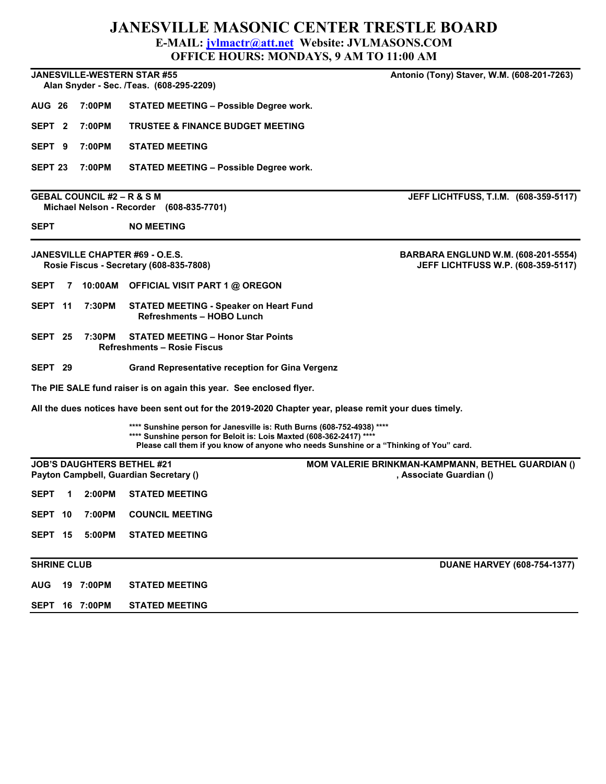## JANESVILLE MASONIC CENTER TRESTLE BOARD E-MAIL: jvlmactr@att.net Website: JVLMASONS.COM

|                    |   |                                       |                                                                                                                                               | <b>OFFICE HOURS: MONDAYS, 9 AM TO 11:00 AM</b>                                          |
|--------------------|---|---------------------------------------|-----------------------------------------------------------------------------------------------------------------------------------------------|-----------------------------------------------------------------------------------------|
|                    |   |                                       | JANESVILLE-WESTERN STAR #55<br>Alan Snyder - Sec. /Teas. (608-295-2209)                                                                       | Antonio (Tony) Staver, W.M. (608-201-7263)                                              |
| <b>AUG 26</b>      |   | 7:00PM                                | STATED MEETING - Possible Degree work.                                                                                                        |                                                                                         |
| SEPT <sub>2</sub>  |   | 7:00PM                                | <b>TRUSTEE &amp; FINANCE BUDGET MEETING</b>                                                                                                   |                                                                                         |
| SEPT <sub>9</sub>  |   | 7:00PM                                | <b>STATED MEETING</b>                                                                                                                         |                                                                                         |
| SEPT <sub>23</sub> |   | 7:00PM                                | <b>STATED MEETING - Possible Degree work.</b>                                                                                                 |                                                                                         |
|                    |   | <b>GEBAL COUNCIL #2 – R &amp; S M</b> | Michael Nelson - Recorder (608-835-7701)                                                                                                      | JEFF LICHTFUSS, T.I.M. (608-359-5117)                                                   |
| <b>SEPT</b>        |   |                                       | <b>NO MEETING</b>                                                                                                                             |                                                                                         |
|                    |   |                                       | JANESVILLE CHAPTER #69 - O.E.S.<br>Rosie Fiscus - Secretary (608-835-7808)                                                                    | <b>BARBARA ENGLUND W.M. (608-201-5554)</b><br><b>JEFF LICHTFUSS W.P. (608-359-5117)</b> |
| <b>SEPT</b>        | 7 |                                       | 10:00AM OFFICIAL VISIT PART 1 @ OREGON                                                                                                        |                                                                                         |
| SEPT 11            |   | 7:30PM                                | <b>STATED MEETING - Speaker on Heart Fund</b><br><b>Refreshments - HOBO Lunch</b>                                                             |                                                                                         |
| SEPT 25            |   | 7:30PM                                | <b>STATED MEETING - Honor Star Points</b><br>Refreshments – Rosie Fiscus                                                                      |                                                                                         |
| SEPT 29            |   |                                       | <b>Grand Representative reception for Gina Vergenz</b>                                                                                        |                                                                                         |
|                    |   |                                       | The PIE SALE fund raiser is on again this year. See enclosed flyer.                                                                           |                                                                                         |
|                    |   |                                       | All the dues notices have been sent out for the 2019-2020 Chapter year, please remit your dues timely.                                        |                                                                                         |
|                    |   |                                       | **** Sunshine person for Janesville is: Ruth Burns (608-752-4938) ****<br>**** Sunshine person for Beloit is: Lois Maxted (608-362-2417) **** | Please call them if you know of anyone who needs Sunshine or a "Thinking of You" card.  |
|                    |   |                                       | <b>JOB'S DAUGHTERS BETHEL #21</b><br>Payton Campbell, Guardian Secretary ()                                                                   | MOM VALERIE BRINKMAN-KAMPMANN, BETHEL GUARDIAN ()<br>. Associate Guardian ()            |
| SEPT               |   |                                       | 1 2:00PM STATED MEETING                                                                                                                       |                                                                                         |
| SEPT 10            |   | 7:00PM                                | <b>COUNCIL MEETING</b>                                                                                                                        |                                                                                         |
| SEPT 15            |   | 5:00PM                                | <b>STATED MEETING</b>                                                                                                                         |                                                                                         |
| <b>SHRINE CLUB</b> |   |                                       |                                                                                                                                               | <b>DUANE HARVEY (608-754-1377)</b>                                                      |
| <b>AUG</b>         |   | 19 7:00PM                             | <b>STATED MEETING</b>                                                                                                                         |                                                                                         |
|                    |   | SEPT 16 7:00PM                        | <b>STATED MEETING</b>                                                                                                                         |                                                                                         |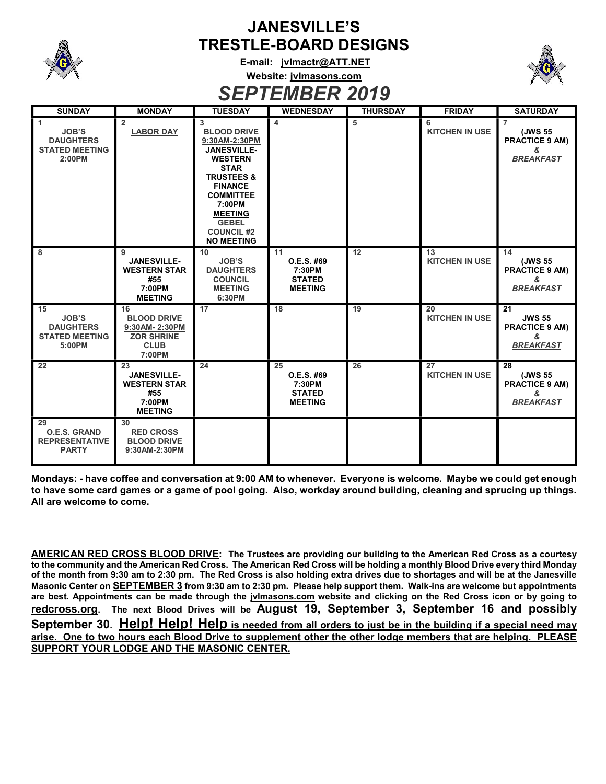

## JANESVILLE'S TRESTLE-BOARD DESIGNS

E-mail: jvlmactr@ATT.NET Website: jvlmasons.com



SEPTEMBER 2019

| <b>SUNDAY</b>                                                                               | <b>MONDAY</b>                                                                           | <b>TUESDAY</b>                                                                                                                                                                                                                                       | <b>WEDNESDAY</b>                                              | <b>THURSDAY</b> | <b>FRIDAY</b>               | <b>SATURDAY</b>                                                             |
|---------------------------------------------------------------------------------------------|-----------------------------------------------------------------------------------------|------------------------------------------------------------------------------------------------------------------------------------------------------------------------------------------------------------------------------------------------------|---------------------------------------------------------------|-----------------|-----------------------------|-----------------------------------------------------------------------------|
| $\blacktriangleleft$<br><b>JOB'S</b><br><b>DAUGHTERS</b><br><b>STATED MEETING</b><br>2:00PM | $\overline{2}$<br><b>LABOR DAY</b>                                                      | 3<br><b>BLOOD DRIVE</b><br>9:30AM-2:30PM<br><b>JANESVILLE-</b><br><b>WESTERN</b><br><b>STAR</b><br><b>TRUSTEES &amp;</b><br><b>FINANCE</b><br><b>COMMITTEE</b><br>7:00PM<br><b>MEETING</b><br><b>GEBEL</b><br><b>COUNCIL #2</b><br><b>NO MEETING</b> | 4                                                             | 5               | 6<br><b>KITCHEN IN USE</b>  | $\overline{7}$<br>(JWS 55<br><b>PRACTICE 9 AM)</b><br>&<br><b>BREAKFAST</b> |
| 8                                                                                           | 9<br><b>JANESVILLE-</b><br><b>WESTERN STAR</b><br>#55<br>7:00PM<br><b>MEETING</b>       | 10<br><b>JOB'S</b><br><b>DAUGHTERS</b><br><b>COUNCIL</b><br><b>MEETING</b><br>6:30PM                                                                                                                                                                 | 11<br>O.E.S. #69<br>7:30PM<br><b>STATED</b><br><b>MEETING</b> | $\overline{12}$ | 13<br><b>KITCHEN IN USE</b> | 14<br>(JWS 55<br><b>PRACTICE 9 AM)</b><br>&<br><b>BREAKFAST</b>             |
| 15<br><b>JOB'S</b><br><b>DAUGHTERS</b><br><b>STATED MEETING</b><br>5:00PM                   | 16<br><b>BLOOD DRIVE</b><br>9:30AM-2:30PM<br><b>ZOR SHRINE</b><br><b>CLUB</b><br>7:00PM | 17                                                                                                                                                                                                                                                   | 18                                                            | 19              | 20<br><b>KITCHEN IN USE</b> | 21<br><b>JWS 55</b><br><b>PRACTICE 9 AM)</b><br>ጼ<br><b>BREAKFAST</b>       |
| 22                                                                                          | 23<br><b>JANESVILLE-</b><br><b>WESTERN STAR</b><br>#55<br>7:00PM<br><b>MEETING</b>      | 24                                                                                                                                                                                                                                                   | 25<br>O.E.S. #69<br>7:30PM<br><b>STATED</b><br><b>MEETING</b> | 26              | 27<br><b>KITCHEN IN USE</b> | 28<br>(JWS 55<br><b>PRACTICE 9 AM)</b><br>&<br><b>BREAKFAST</b>             |
| 29<br><b>O.E.S. GRAND</b><br><b>REPRESENTATIVE</b><br><b>PARTY</b>                          | 30<br><b>RED CROSS</b><br><b>BLOOD DRIVE</b><br>9:30AM-2:30PM                           |                                                                                                                                                                                                                                                      |                                                               |                 |                             |                                                                             |

Mondays: - have coffee and conversation at 9:00 AM to whenever. Everyone is welcome. Maybe we could get enough to have some card games or a game of pool going. Also, workday around building, cleaning and sprucing up things. All are welcome to come.

AMERICAN RED CROSS BLOOD DRIVE: The Trustees are providing our building to the American Red Cross as a courtesy to the community and the American Red Cross. The American Red Cross will be holding a monthly Blood Drive every third Monday of the month from 9:30 am to 2:30 pm. The Red Cross is also holding extra drives due to shortages and will be at the Janesville Masonic Center on **SEPTEMBER 3** from 9:30 am to 2:30 pm. Please help support them. Walk-ins are welcome but appointments are best. Appointments can be made through the jvlmasons.com website and clicking on the Red Cross icon or by going to redcross.org. The next Blood Drives will be August 19, September 3, September 16 and possibly September 30. Help! Help! Help is needed from all orders to just be in the building if a special need may arise. One to two hours each Blood Drive to supplement other the other lodge members that are helping. PLEASE SUPPORT YOUR LODGE AND THE MASONIC CENTER.